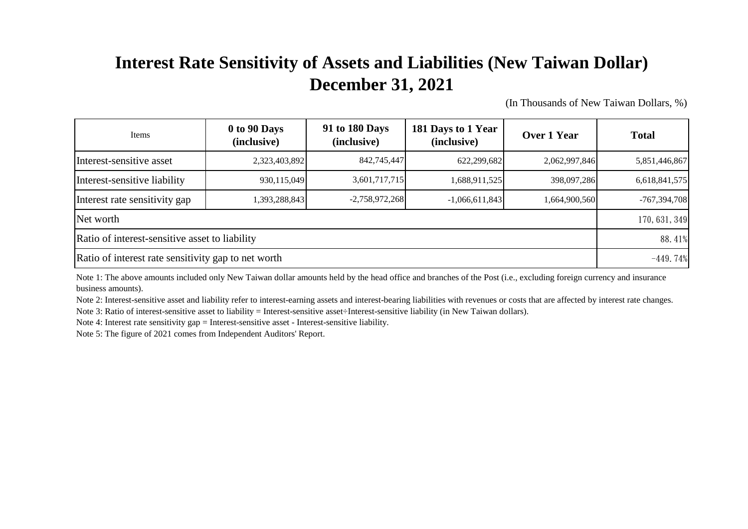## **Interest Rate Sensitivity of Assets and Liabilities (New Taiwan Dollar) December 31, 2021**

(In Thousands of New Taiwan Dollars, %)

| Items                                               | 0 to 90 Days<br>(inclusive) | 91 to 180 Days<br>(inclusive) | 181 Days to 1 Year<br>(inclusive) | Over 1 Year   | <b>Total</b>   |
|-----------------------------------------------------|-----------------------------|-------------------------------|-----------------------------------|---------------|----------------|
| Interest-sensitive asset                            | 2,323,403,892               | 842,745,447                   | 622,299,682                       | 2,062,997,846 | 5,851,446,867  |
| Interest-sensitive liability                        | 930,115,049                 | 3,601,717,715                 | 1,688,911,525                     | 398,097,286   | 6,618,841,575  |
| Interest rate sensitivity gap                       | 1,393,288,843               | $-2,758,972,268$              | $-1,066,611,843$                  | 1,664,900,560 | $-767,394,708$ |
| Net worth                                           | 170, 631, 349               |                               |                                   |               |                |
| Ratio of interest-sensitive asset to liability      | 88.41%                      |                               |                                   |               |                |
| Ratio of interest rate sensitivity gap to net worth | $-449.74%$                  |                               |                                   |               |                |

Note 1: The above amounts included only New Taiwan dollar amounts held by the head office and branches of the Post (i.e., excluding foreign currency and insurance business amounts).

Note 2: Interest-sensitive asset and liability refer to interest-earning assets and interest-bearing liabilities with revenues or costs that are affected by interest rate changes. Note 3: Ratio of interest-sensitive asset to liability = Interest-sensitive asset÷Interest-sensitive liability (in New Taiwan dollars).

Note 4: Interest rate sensitivity gap = Interest-sensitive asset - Interest-sensitive liability.

Note 5: The figure of 2021 comes from Independent Auditors' Report.